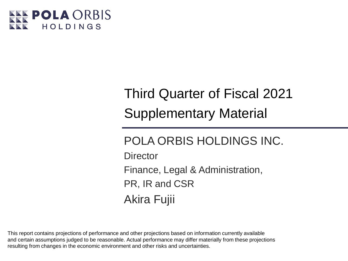

# Third Quarter of Fiscal 2021 Supplementary Material

POLA ORBIS HOLDINGS INC. **Director** Finance, Legal & Administration, PR, IR and CSR Akira Fujii

This report contains projections of performance and other projections based on information currently available and certain assumptions judged to be reasonable. Actual performance may differ materially from these projections resulting from changes in the economic environment and other risks and uncertainties.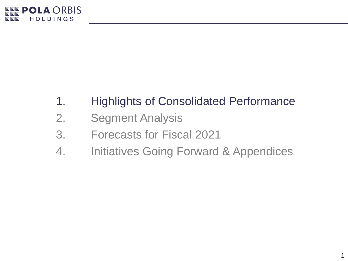

# 1. Highlights of Consolidated Performance

- 2. Segment Analysis
- 3. Forecasts for Fiscal 2021
- 4. Initiatives Going Forward & Appendices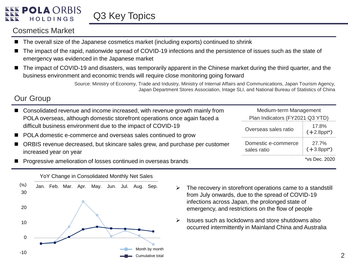### Cosmetics Market

- The overall size of the Japanese cosmetics market (including exports) continued to shrink
- The impact of the rapid, nationwide spread of COVID-19 infections and the persistence of issues such as the state of emergency was evidenced in the Japanese market
- The impact of COVID-19 and disasters, was temporarily apparent in the Chinese market during the third quarter, and the business environment and economic trends will require close monitoring going forward

Source: Ministry of Economy, Trade and Industry, Ministry of Internal Affairs and Communications, Japan Tourism Agency, Japan Department Stores Association, Intage SLI, and National Bureau of Statistics of China

### Our Group

| ■ Consolidated revenue and income increased, with revenue growth mainly from<br>POLA overseas, although domestic storefront operations once again faced a | Medium-term Management<br>Plan Indicators (FY2021 Q3 YTD) |                                     |  |
|-----------------------------------------------------------------------------------------------------------------------------------------------------------|-----------------------------------------------------------|-------------------------------------|--|
| difficult business environment due to the impact of COVID-19<br>■ POLA domestic e-commerce and overseas sales continued to grow                           | Overseas sales ratio                                      | 17.8%<br>$(+2.8$ ppt <sup>*</sup> ) |  |
| ■ ORBIS revenue decreased, but skincare sales grew, and purchase per customer<br>increased year on year                                                   | Domestic e-commerce<br>sales ratio                        | 27.7%<br>$(+3.8$ ppt*)              |  |
| ■ Progressive amelioration of losses continued in overseas brands                                                                                         |                                                           | *vs Dec. 2020                       |  |



- from July onwards, due to the spread of COVID-19 infections across Japan, the prolonged state of emergency, and restrictions on the flow of people
- Issues such as lockdowns and store shutdowns also occurred intermittently in Mainland China and Australia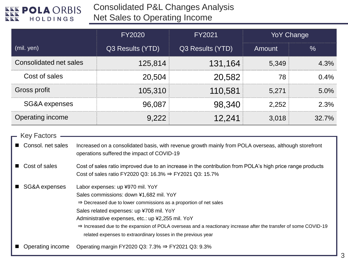

Consolidated P&L Changes Analysis

Net Sales to Operating Income

|                        | FY2020           | FY2021           |        | <b>YoY Change</b> |
|------------------------|------------------|------------------|--------|-------------------|
| (mil. yen)             | Q3 Results (YTD) | Q3 Results (YTD) | Amount | $\%$              |
| Consolidated net sales | 125,814          | 131,164          | 5,349  | 4.3%              |
| Cost of sales          | 20,504           | 20,582           | 78     | $0.4\%$           |
| Gross profit           | 105,310          | 110,581          | 5,271  | $5.0\%$           |
| SG&A expenses          | 96.087           | 98,340           | 2,252  | 2.3%              |
| Operating income       |                  | 12.241           | 3,018  | $32.7\%$          |

| — Key Factors     |                                                                                                                                                                                                                                                                                                                                                                                                                                                                |
|-------------------|----------------------------------------------------------------------------------------------------------------------------------------------------------------------------------------------------------------------------------------------------------------------------------------------------------------------------------------------------------------------------------------------------------------------------------------------------------------|
| Consol. net sales | Increased on a consolidated basis, with revenue growth mainly from POLA overseas, although storefront<br>operations suffered the impact of COVID-19                                                                                                                                                                                                                                                                                                            |
| Cost of sales     | Cost of sales ratio improved due to an increase in the contribution from POLA's high price range products<br>Cost of sales ratio FY2020 Q3: 16.3% $\Rightarrow$ FY2021 Q3: 15.7%                                                                                                                                                                                                                                                                               |
| SG&A expenses     | Labor expenses: up ¥970 mil. YoY<br>Sales commissions: down ¥1,682 mil. YoY<br>$\Rightarrow$ Decreased due to lower commissions as a proportion of net sales<br>Sales related expenses: up ¥708 mil. YoY<br>Administrative expenses, etc.: up ¥2,255 mil. YoY<br>$\Rightarrow$ Increased due to the expansion of POLA overseas and a reactionary increase after the transfer of some COVID-19<br>related expenses to extraordinary losses in the previous year |
| Operating income  | Operating margin FY2020 Q3: 7.3% $\Rightarrow$ FY2021 Q3: 9.3%                                                                                                                                                                                                                                                                                                                                                                                                 |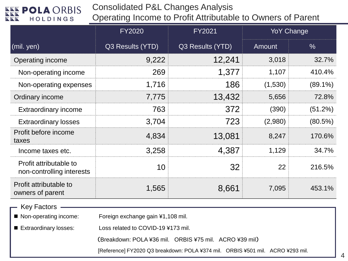Consolidated P&L Changes Analysis

Operating Income to Profit Attributable to Owners of Parent

|                                                     | <b>FY2020</b>    | FY2021           |         | <b>YoY Change</b> |  |
|-----------------------------------------------------|------------------|------------------|---------|-------------------|--|
| (mil. yen)                                          | Q3 Results (YTD) | Q3 Results (YTD) | Amount  | $\%$              |  |
| Operating income                                    | 9,222            | 12,241           | 3,018   | 32.7%             |  |
| Non-operating income                                | 269              | 1,377            | 1,107   | 410.4%            |  |
| Non-operating expenses                              | 1,716            | 186              | (1,530) | $(89.1\%)$        |  |
| Ordinary income                                     | 7,775            | 13,432           | 5,656   | 72.8%             |  |
| <b>Extraordinary income</b>                         | 763              | 372              | (390)   | (51.2%)           |  |
| <b>Extraordinary losses</b>                         | 3.704            | 723              | (2,980) | (80.5%)           |  |
| Profit before income<br>taxes                       | 4,834            | 13,081           | 8,247   | 170.6%            |  |
| Income taxes etc.                                   | 3,258            | 4,387            | 1,129   | 34.7%             |  |
| Profit attributable to<br>non-controlling interests | 10               | 32               | 22      | 216.5%            |  |
| Profit attributable to<br>owners of parent          | 1,565            | 8,661            | 7,095   | 453.1%            |  |

Key Factors

■ Non-operating income: Foreign exchange gain ¥1,108 mil.

■ Extraordinary losses: Loss related to COVID-19 ¥173 mil.

(Breakdown: POLA ¥36 mil. ORBIS ¥75 mil. ACRO ¥39 mil)

[Reference] FY2020 Q3 breakdown: POLA ¥374 mil. ORBIS ¥501 mil. ACRO ¥293 mil.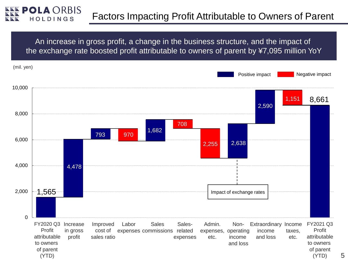

An increase in gross profit, a change in the business structure, and the impact of the exchange rate boosted profit attributable to owners of parent by ¥7,095 million YoY

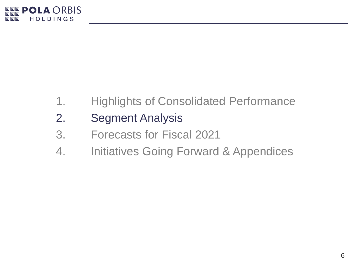

- 1. Highlights of Consolidated Performance
- 2. Segment Analysis
- 3. Forecasts for Fiscal 2021
- 4. Initiatives Going Forward & Appendices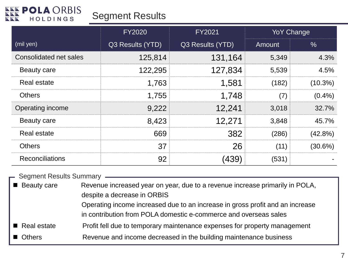

## Segment Results

|                               | <b>FY2020</b>    | FY2021           | <b>YoY Change</b> |            |
|-------------------------------|------------------|------------------|-------------------|------------|
| (mil yen)                     | Q3 Results (YTD) | Q3 Results (YTD) | Amount            | $\%$       |
| <b>Consolidated net sales</b> | 125,814          | 131,164          | 5,349             | 4.3%       |
| <b>Beauty care</b>            | 122,295          | 127,834          | 5,539             | 4.5%       |
| Real estate                   | 1,763            | 1.581            | (182).            | $(10.3\%)$ |
| <b>Others</b>                 | 1,755            | 1,748            |                   | $(0.4\%)$  |
| <b>Operating income</b>       | 9,222            | 12,241           | 3,018             | 32.7%      |
| <b>Beauty care</b>            | 8,423            | 12.271           | 3,848             | 45.7%      |
| Real estate                   | 669              | 382              | (286)             | (42.8%)    |
| <b>Others</b>                 | 37               | 26               |                   | (30.6%)    |
| Reconciliations               | 92               |                  | 1531              |            |

|                            | - Segment Results Summary - Segment Results Summary                                                                                                                                                                                                              |
|----------------------------|------------------------------------------------------------------------------------------------------------------------------------------------------------------------------------------------------------------------------------------------------------------|
| ■ Beauty care              | Revenue increased year on year, due to a revenue increase primarily in POLA,<br>despite a decrease in ORBIS<br>Operating income increased due to an increase in gross profit and an increase<br>in contribution from POLA domestic e-commerce and overseas sales |
| $\blacksquare$ Real estate | Profit fell due to temporary maintenance expenses for property management                                                                                                                                                                                        |
| Others                     | Revenue and income decreased in the building maintenance business                                                                                                                                                                                                |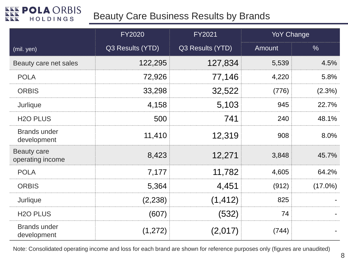## Beauty Care Business Results by Brands

|                                        | <b>FY2020</b>    | <b>FY2021</b>    | <b>YoY Change</b> |            |
|----------------------------------------|------------------|------------------|-------------------|------------|
| (mil. yen)                             | Q3 Results (YTD) | Q3 Results (YTD) | Amount            | $\%$       |
| Beauty care net sales                  | 122,295          | 127,834          | 5,539             | 4.5%       |
| <b>POLA</b>                            | 72,926           | 77,146           | 4,220             | 5.8%       |
| <b>ORBIS</b>                           | 33,298           | 32,522           | (776)             | $(2.3\%)$  |
| Jurlique                               | 4,158            | 5,103            | 945               | 22.7%      |
| <b>H<sub>2</sub>O</b> PLUS             | 500              | 741              | 240               | 48.1%      |
| <b>Brands under</b><br>development     | 11,410           | 12,319           | 908               | 8.0%       |
| <b>Beauty care</b><br>operating income | 8,423            | 12,271           | 3,848             | 45.7%      |
| <b>POLA</b>                            | 7,177            | 11,782           | 4,605             | 64.2%      |
| <b>ORBIS</b>                           | 5,364            | 4,451            | (912)             | $(17.0\%)$ |
| Jurlique                               | (2,238)          | (1, 412)         | 825               |            |
| <b>H<sub>2</sub>O</b> PLUS             | (607)            | (532)            | 74                |            |
| <b>Brands under</b><br>development     | (1,272)          | (2,017)          | (744)             |            |

Note: Consolidated operating income and loss for each brand are shown for reference purposes only (figures are unaudited)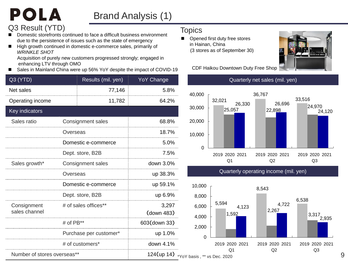## Brand Analysis (1)

## Q3 Result (YTD) Topics

POLA

- Domestic storefronts continued to face a difficult business environment due to the persistence of issues such as the state of emergency
- High growth continued in domestic e-commerce sales, primarily of *WRINKLE SHOT*

Acquisition of purely new customers progressed strongly; engaged in enhancing LTV through OMO

Sales in Mainland China were up 56% YoY despite the impact of COVID-19

| Q3 (YTD)                     |             | Results (mil. yen)     | <b>YoY Change</b>   |
|------------------------------|-------------|------------------------|---------------------|
| Net sales                    |             | 77,146                 | 5.8%                |
| Operating income             |             | 11,782                 | 64.2%               |
| Key indicators               |             |                        |                     |
| Sales ratio                  |             | Consignment sales      | 68.8%               |
|                              | Overseas    |                        | 18.7%               |
|                              |             | Domestic e-commerce    | 5.0%                |
|                              |             | Dept. store, B2B       | 7.5%                |
| Sales growth*                |             | Consignment sales      | down 3.0%           |
|                              | Overseas    |                        | up 38.3%            |
|                              |             | Domestic e-commerce    | up 59.1%            |
|                              |             | Dept. store, B2B       | up 6.9%             |
| Consignment<br>sales channel |             | # of sales offices**   | 3,297<br>(down 483) |
|                              | # of $PB**$ |                        | 603(down 33)        |
|                              |             | Purchase per customer* | up 1.0%             |
|                              |             | # of customers*        | down 4.1%           |
| Number of stores overseas**  |             |                        | 124(up 14) *\       |

■ Opened first duty free stores in Hainan, China (3 stores as of September 30)



CDF Haikou Downtown Duty Free Shop



Quarterly net sales (mil. yen)

Quarterly operating income (mil. yen)

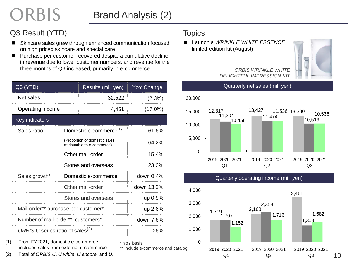## Brand Analysis (2)

\* YoY basis

## Q3 Result (YTD) Topics

ORBIS

- Skincare sales grew through enhanced communication focused on high priced skincare and special care
- Purchase per customer recovered despite a cumulative decline in revenue due to lower customer numbers, and revenue for the three months of Q3 increased, primarily in e-commerce

| Q3 (YTD)                                     |                  | Results (mil. yen)                                           | <b>YoY Change</b> |  |  |
|----------------------------------------------|------------------|--------------------------------------------------------------|-------------------|--|--|
| Net sales                                    |                  | 32,522                                                       | (2.3%)            |  |  |
| Operating income                             |                  | 4,451                                                        | $(17.0\%)$        |  |  |
| Key indicators                               |                  |                                                              |                   |  |  |
| Sales ratio                                  |                  | Domestic e-commerce <sup>(1)</sup>                           | 61.6%             |  |  |
|                                              |                  | (Proportion of domestic sales<br>attributable to e-commerce) | 64.2%             |  |  |
|                                              | Other mail-order |                                                              |                   |  |  |
|                                              |                  | Stores and overseas                                          | 23.0%             |  |  |
| Sales growth*                                |                  | Domestic e-commerce                                          | down $0.4\%$      |  |  |
|                                              |                  | Other mail-order                                             | down 13.2%        |  |  |
|                                              |                  | Stores and overseas                                          | up 0.9%           |  |  |
| Mail-order** purchase per customer*          |                  |                                                              | up 2.6%           |  |  |
| Number of mail-order** customers*            |                  |                                                              | down 7.6%         |  |  |
| ORBIS U series ratio of sales <sup>(2)</sup> |                  |                                                              | 26%               |  |  |

(1) From FY2021, domestic e-commerce includes sales from external e-commerce

(2) Total of *ORBIS U*, *U white*, *U encore,* and *U***.**

 Launch a *WRINKLE WHITE ESSENCE*  limited-edition kit (August)



#### *ORBIS WRINKLE WHITE DELIGHTFUL IMPRESSION KIT*



#### Quarterly operating income (mil. yen)



10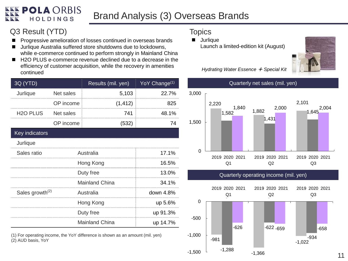## Brand Analysis (3) Overseas Brands

## Q3 Result (YTD) Topics

- **Progressive amelioration of losses continued in overseas brands**
- Jurlique Australia suffered store shutdowns due to lockdowns, while e-commerce continued to perform strongly in Mainland China
- H2O PLUS e-commerce revenue declined due to a decrease in the efficiency of customer acquisition, while the recovery in amenities continued

| 3Q (YTD)                    |           | Results (mil. yen)    | YoY Change <sup>(1)</sup> |
|-----------------------------|-----------|-----------------------|---------------------------|
| Jurlique                    | Net sales | 5,103                 | 22.7%                     |
|                             | OP income | (1, 412)              | 825                       |
| H <sub>2</sub> O PLUS       | Net sales | 741                   | 48.1%                     |
|                             | OP income | (532)                 | 74                        |
| Key indicators              |           |                       |                           |
| Jurlique                    |           |                       |                           |
| Sales ratio                 | Australia | 17.1%                 |                           |
|                             | Hong Kong | 16.5%                 |                           |
|                             | Duty free | 13.0%                 |                           |
|                             |           | <b>Mainland China</b> | 34.1%                     |
| Sales growth <sup>(2)</sup> |           | Australia             | down 4.8%                 |
|                             |           | Hong Kong             | up 5.6%                   |
|                             | Duty free | up 91.3%              |                           |
|                             |           | Mainland China        | up 14.7%                  |

(1) For operating income, the YoY difference is shown as an amount (mil. yen) (2) AUD basis, YoY

**Jurlique** Launch a limited-edition kit (August)



*Hydrating Water Essence* + *Special Kit*



Quarterly operating income (mil. yen)

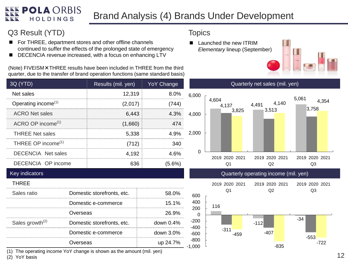#### **POLA ORBIS** Brand Analysis (4) Brands Under Development **HOLDINGS**

### Q3 Result (YTD)

- For THREE, department stores and other offline channels continued to suffer the effects of the prolonged state of emergency
- DECENCIA revenue increased, with a focus on enhancing LTV

(Note) FIVEISM×THREE results have been included in THREE from the third quarter, due to the transfer of brand operation functions (same standard basis)

| 3Q (YTD)                        |          | Results (mil. yen)         | <b>YoY Change</b> |
|---------------------------------|----------|----------------------------|-------------------|
| Net sales                       |          | 12,319                     | 8.0%              |
| Operating income <sup>(1)</sup> |          | (2,017)                    | (744)             |
| <b>ACRO Net sales</b>           |          | 6,443                      | 4.3%              |
| ACRO OP income <sup>(1)</sup>   |          | (1,660)                    | 474               |
| <b>THREE Net sales</b>          |          | 5,338                      | 4.9%              |
| THREE OP income <sup>(1)</sup>  |          | (712)                      | 340               |
| <b>DECENCIA Net sales</b>       |          | 4,192                      | 4.6%              |
| <b>DECENCIA OP income</b>       |          | 636                        | $(5.6\%)$         |
| Key indicators                  |          |                            |                   |
| <b>THREE</b>                    |          |                            |                   |
| Sales ratio                     |          | Domestic storefronts, etc. | 58.0%             |
|                                 |          | Domestic e-commerce        | 15.1%             |
|                                 | Overseas |                            | 26.9%             |
| Sales growth <sup>(2)</sup>     |          | Domestic storefronts, etc. | down 0.4%         |
|                                 |          | Domestic e-commerce        | down 3.0%         |
|                                 | Overseas |                            | up 24.7%          |
|                                 |          |                            |                   |

**Topics** 

 Launched the new ITRIM *Elementary* lineup (September)





Quarterly operating income (mil. yen)



(1) The operating income YoY change is shown as the amount (mil. yen)

(2) YoY basis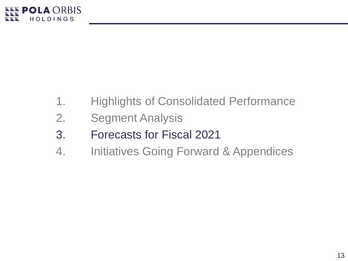

- 1. Highlights of Consolidated Performance
- 2. Segment Analysis
- 3. Forecasts for Fiscal 2021
- 4. Initiatives Going Forward & Appendices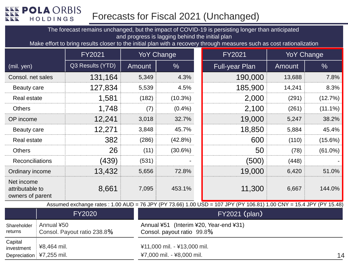## Forecasts for Fiscal 2021 (Unchanged)

The forecast remains unchanged, but the impact of COVID-19 is persisting longer than anticipated and progress is lagging behind the initial plan

Make effort to bring results closer to the initial plan with a recovery through measures such as cost rationalization

|                                                   |            | FY2021                      |        | <b>YoY Change</b>                                                    | <b>FY2021</b>                                                                                                      | <b>YoY Change</b> |               |
|---------------------------------------------------|------------|-----------------------------|--------|----------------------------------------------------------------------|--------------------------------------------------------------------------------------------------------------------|-------------------|---------------|
| (mil. yen)                                        |            | Q3 Results (YTD)            | Amount | $\frac{0}{6}$                                                        | <b>Full-year Plan</b>                                                                                              | Amount            | $\frac{0}{0}$ |
| Consol. net sales                                 |            | 131,164                     | 5,349  | 4.3%                                                                 | 190,000                                                                                                            | 13,688            | 7.8%          |
| Beauty care                                       |            | 127,834                     | 5,539  | 4.5%                                                                 | 185,900                                                                                                            | 14,241            | 8.3%          |
| <b>Real estate</b>                                |            | 1,581                       | (182)  | $(10.3\%)$                                                           | 2,000                                                                                                              | (291)             | (12.7%)       |
| <b>Others</b>                                     |            | 1,748                       | (7)    | $(0.4\%)$                                                            | 2,100                                                                                                              | (261)             | $(11.1\%)$    |
| OP income                                         |            | 12,241                      | 3,018  | 32.7%                                                                | 19,000                                                                                                             | 5,247             | 38.2%         |
| Beauty care                                       |            | 12,271                      | 3,848  | 45.7%                                                                | 18,850                                                                                                             | 5,884             | 45.4%         |
| <b>Real estate</b>                                |            | 382                         | (286)  | $(42.8\%)$                                                           | 600                                                                                                                | (110)             | (15.6%)       |
| Others                                            |            | 26                          | (11)   | $(30.6\%)$                                                           | 50                                                                                                                 | (78)              | (61.0%)       |
| Reconciliations                                   |            | (439)                       | (531)  |                                                                      | (500)                                                                                                              | (448)             |               |
| Ordinary income                                   |            | 13,432                      | 5,656  | 72.8%                                                                | 19,000                                                                                                             | 6,420             | 51.0%         |
| Net income<br>attributable to<br>owners of parent |            | 8,661                       | 7,095  | 453.1%                                                               | 11,300                                                                                                             | 6,667             | 144.0%        |
|                                                   |            |                             |        |                                                                      | Assumed exchange rates: 1.00 AUD = 76 JPY (PY 73.66) 1.00 USD = 107 JPY (PY 106.81) 1.00 CNY = 15.4 JPY (PY 15.48) |                   |               |
|                                                   |            | <b>FY2020</b>               |        |                                                                      | <b>FY2021 (plan)</b>                                                                                               |                   |               |
| Shareholder<br>returns                            | Annual ¥50 | Consol. Payout ratio 238.8% |        | Annual ¥51 (Interim ¥20, Year-end ¥31)<br>Consol. payout ratio 99.8% |                                                                                                                    |                   |               |
| $\bigcap$ $\bigcap$ $\bigcup$ $\bigcap$           |            |                             |        |                                                                      |                                                                                                                    |                   |               |

¥11,000 mil. - ¥13,000 mil. ¥7,000 mil. - ¥8,000 mil.

Capital investment ¥8,464 mil.

Depreciation ¥7,255 mil.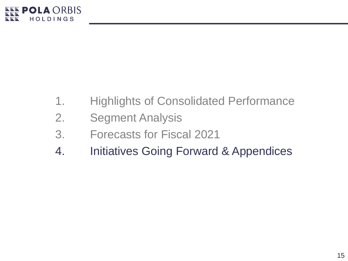

- 1. Highlights of Consolidated Performance
- 2. Segment Analysis
- 3. Forecasts for Fiscal 2021
- 4. Initiatives Going Forward & Appendices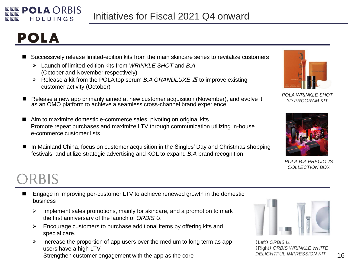

# **POLA**

- Successively release limited-edition kits from the main skincare series to revitalize customers
	- Launch of limited-edition kits from *WRINKLE SHOT* and *B.A* (October and November respectively)
	- Release a kit from the POLA top serum *B.A GRANDLUXE* Ⅲ to improve existing customer activity (October)
- Release a new app primarily aimed at new customer acquisition (November), and evolve it as an OMO platform to achieve a seamless cross-channel brand experience
- Aim to maximize domestic e-commerce sales, pivoting on original kits Promote repeat purchases and maximize LTV through communication utilizing in-house e-commerce customer lists
- In Mainland China, focus on customer acquisition in the Singles' Day and Christmas shopping festivals, and utilize strategic advertising and KOL to expand *B.A* brand recognition



*POLA WRINKLE SHOT 3D PROGRAM KIT*



*POLA B.A PRECIOUS COLLECTION BOX*

# ORBIS

- Engage in improving per-customer LTV to achieve renewed growth in the domestic business
	- $\triangleright$  Implement sales promotions, mainly for skincare, and a promotion to mark the first anniversary of the launch of *ORBIS U.*
	- $\triangleright$  Encourage customers to purchase additional items by offering kits and special care.
	- $\triangleright$  Increase the proportion of app users over the medium to long term as app users have a high LTV Strengthen customer engagement with the app as the core



(Left) *ORBIS U.* (Right) *ORBIS WRINKLE WHITE DELIGHTFUL IMPRESSION KIT*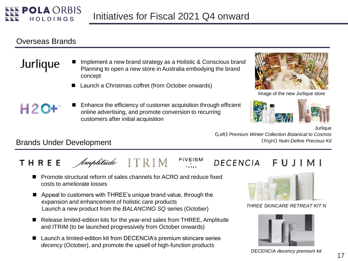

#### Overseas Brands

H2C

- Implement a new brand strategy as a Holistic & Conscious brand Jurlique Planning to open a new store in Australia embodying the brand concept
	- Launch a Christmas coffret (from October onwards)
	- Enhance the efficiency of customer acquisition through efficient online advertising, and promote conversion to recurring customers after initial acquisition



Image of the new Jurlique store



**Jurlique** 

(Left) *Premium Winter Collection Botanical to Cosmos* (Right) *Nutri-Define Precious Kit*

#### Brands Under Development

#### **FIVEISM** Amplitude I T R I M THREE

- Promote structural reform of sales channels for ACRO and reduce fixed
	- costs to ameliorate losses
- Appeal to customers with THREE's unique brand value, through the expansion and enhancement of holistic care products Launch a new product from the *BALANCING SQ* series (October)
- Release limited-edition kits for the year-end sales from THREE, Amplitude and ITRIM (to be launched progressively from October onwards)
- Launch a limited-edition kit from DECENCIA's premium skincare series *decency* (October), and promote the upsell of high-function products

#### DECENCIA FUJIMI



*THREE SKINCARE RETREAT KIT N*



DECENCIA *decency premium kit*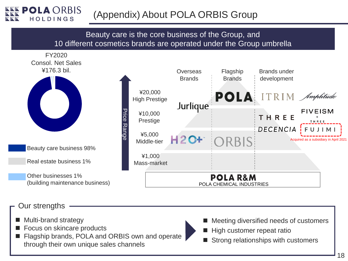## (Appendix) About POLA ORBIS Group

#### Beauty care is the core business of the Group, and 10 different cosmetics brands are operated under the Group umbrella

FY2020 Consol. Net Sales ¥176.3 bil.



Beauty care business 98%

Real estate business 1%

Other businesses 1% (building maintenance business)



### Our strengths

- Multi-brand strategy
- Focus on skincare products
- Flagship brands, POLA and ORBIS own and operate through their own unique sales channels
- Meeting diversified needs of customers
- High customer repeat ratio
- Strong relationships with customers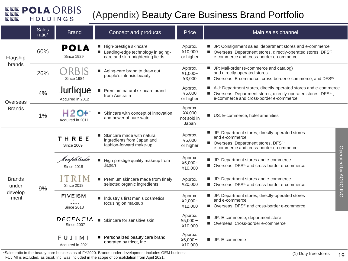

## (Appendix) Beauty Care Business Brand Portfolio

|                                            | <b>Sales</b><br>ratio* | <b>Brand</b>                                 | Concept and products                                                                            | Price                                     | Main sales channel                                                                                                                                                                        |                 |  |
|--------------------------------------------|------------------------|----------------------------------------------|-------------------------------------------------------------------------------------------------|-------------------------------------------|-------------------------------------------------------------------------------------------------------------------------------------------------------------------------------------------|-----------------|--|
| Flagship<br>brands                         | 60%                    | POLA<br><b>Since 1929</b>                    | High-prestige skincare<br>Leading-edge technology in aging-<br>care and skin-brightening fields | Approx.<br>¥10,000<br>or higher           | ■ JP: Consignment sales, department stores and e-commerce<br>■ Overseas: Department stores, directly-operated stores, DFS <sup>(1)</sup> ,<br>e-commerce and cross-border e-commerce      |                 |  |
|                                            | 26%                    | B<br>Since 1984                              | Aging-care brand to draw out<br>people's intrinsic beauty                                       | Approx.<br>¥1,000~<br>¥3,000              | ■ JP: Mail-order (e-commerce and catalog)<br>and directly-operated stores<br>■ Overseas: E-commerce, cross-border e-commerce, and DFS <sup>(1)</sup>                                      |                 |  |
| Overseas<br><b>Brands</b>                  | 4%                     | Jurlíaue<br>Acquired in 2012                 | Premium natural skincare brand<br>from Australia                                                | Approx.<br>¥5,000<br>or higher            | AU: Department stores, directly-operated stores and e-commerce<br>■ Overseas: Department stores, directly-operated stores, DFS <sup>(1)</sup> ,<br>e-commerce and cross-border e-commerce |                 |  |
|                                            | 1%                     | Н2<br>Acquired in 2011                       | Skincare with concept of innovation<br>and power of pure water                                  | Approx.<br>¥4,000<br>not sold in<br>Japan | US: E-commerce, hotel amenities                                                                                                                                                           |                 |  |
| <b>Brands</b><br>under<br>develop<br>-ment | 9%                     | THREE<br><b>Since 2009</b>                   | Skincare made with natural<br>ingredients from Japan and<br>fashion-forward make-up             | Approx.<br>¥5,000<br>or higher            | I JP: Department stores, directly-operated stores<br>and e-commerce<br>■ Overseas: Department stores, DFS <sup>(1)</sup> ,<br>e-commerce and cross-border e-commerce                      |                 |  |
|                                            |                        | Amplitude<br><b>Since 2018</b>               | High prestige quality makeup from<br>$\blacksquare$<br>Japan                                    | Approx.<br>¥5,000~<br>¥10,000             | ■ JP: Department stores and e-commerce<br>■ Overseas: DFS <sup>(1)</sup> and cross-border e-commerce                                                                                      | Operated<br>lá. |  |
|                                            |                        | TRIM<br><b>Since 2018</b>                    | Premium skincare made from finely<br>selected organic ingredients                               | Approx.<br>¥20,000                        | ■ JP: Department stores and e-commerce<br>■ Overseas: DFS <sup>(1)</sup> and cross-border e-commerce                                                                                      | <b>ACRO INC</b> |  |
|                                            |                        | <b>FIVEISM</b><br>THREE<br><b>Since 2018</b> | Industry's first men's cosmetics<br>focusing on makeup                                          | Approx.<br>¥2,000~<br>¥12,000             | ■ JP: Department stores, directly-operated stores<br>and e-commerce<br>■ Overseas: DFS <sup>(1)</sup> and cross-border e-commerce                                                         |                 |  |
|                                            |                        | DECENCIA<br><b>Since 2007</b>                | Skincare for sensitive skin<br>ш                                                                | Approx.<br>¥5,000~<br>¥10,000             | ■ JP: E-commerce, department store<br>■ Overseas: Cross-border e-commerce                                                                                                                 |                 |  |
|                                            |                        | FUJI<br>M I<br>Acquired in 2021              | Personalized beauty care brand<br>operated by tricot, Inc.                                      | Approx.<br>¥6,000 $\sim$<br>¥10,000       | ■ JP: E-commerce                                                                                                                                                                          |                 |  |

\*Sales ratio in the beauty care business as of FY2020. Brands under development includes OEM business. (1) Duty free stores (1) Duty free stores 19 FUJIMI is excluded, as tricot, Inc. was included in the scope of consolidation from April 2021.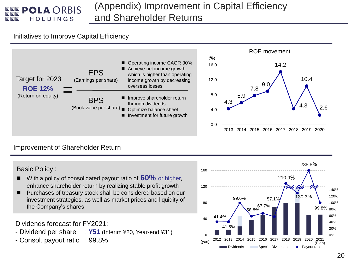

## (Appendix) Improvement in Capital Efficiency and Shareholder Returns

#### Initiatives to Improve Capital Efficiency



#### Improvement of Shareholder Return

Basic Policy :

- With a policy of consolidated payout ratio of **60%** or higher, enhance shareholder return by realizing stable profit growth
- Purchases of treasury stock shall be considered based on our investment strategies, as well as market prices and liquidity of the Company's shares

Dividends forecast for FY2021:

- Dividend per share : **¥51** (Interim ¥20, Year-end ¥31)
- Consol. payout ratio : 99.8%

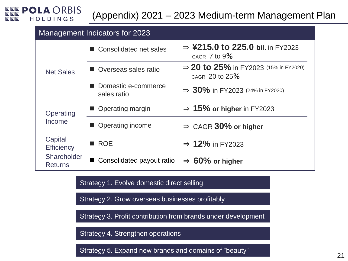

## (Appendix) 2021 – 2023 Medium-term Management Plan

#### Management Indicators for 2023

|                               | ■ Consolidated net sales           | $\Rightarrow$ ¥215.0 to 225.0 bil. in FY2023<br>CAGR 7 to 9%        |  |  |
|-------------------------------|------------------------------------|---------------------------------------------------------------------|--|--|
| <b>Net Sales</b>              | ■ Overseas sales ratio             | $\Rightarrow$ 20 to 25% in FY2023 (15% in FY2020)<br>CAGR 20 to 25% |  |  |
|                               | Domestic e-commerce<br>sales ratio | $\Rightarrow$ 30% in FY2023 (24% in FY2020)                         |  |  |
| Operating                     | ■ Operating margin                 | $\Rightarrow$ 15% or higher in FY2023                               |  |  |
| Income                        | • Operating income                 | $\Rightarrow$ CAGR 30% or higher                                    |  |  |
| Capital<br><b>Efficiency</b>  | ■ ROE                              | $\Rightarrow$ 12% in FY2023                                         |  |  |
| Shareholder<br><b>Returns</b> | ■ Consolidated payout ratio        | $\Rightarrow$ 60% or higher                                         |  |  |

Strategy 1. Evolve domestic direct selling

Strategy 2. Grow overseas businesses profitably

Strategy 3. Profit contribution from brands under development

Strategy 4. Strengthen operations

Strategy 5. Expand new brands and domains of "beauty"